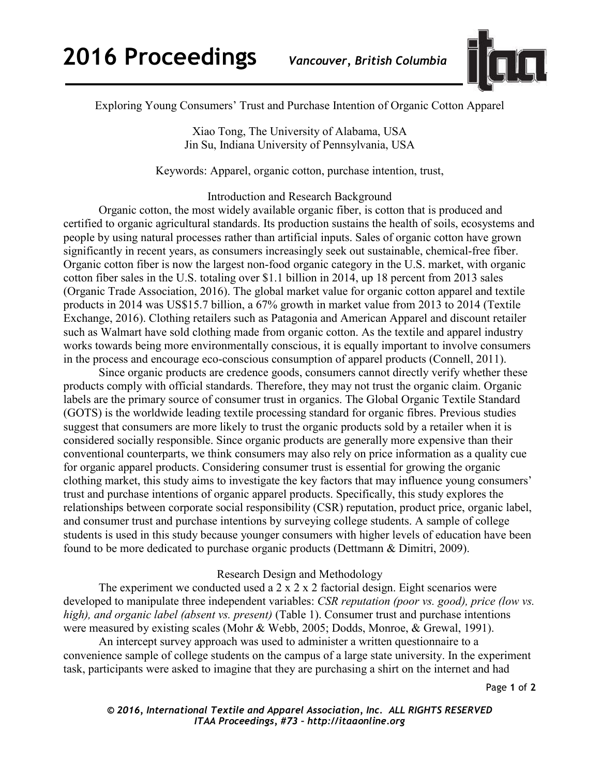

Exploring Young Consumers' Trust and Purchase Intention of Organic Cotton Apparel

Xiao Tong, The University of Alabama, USA Jin Su, Indiana University of Pennsylvania, USA

Keywords: Apparel, organic cotton, purchase intention, trust,

Introduction and Research Background

Organic cotton, the most widely available organic fiber, is cotton that is produced and certified to organic agricultural standards. Its production sustains the health of soils, ecosystems and people by using natural processes rather than artificial inputs. Sales of organic cotton have grown significantly in recent years, as consumers increasingly seek out sustainable, chemical-free fiber. Organic cotton fiber is now the largest non-food organic category in the U.S. market, with organic cotton fiber sales in the U.S. totaling over \$1.1 billion in 2014, up 18 percent from 2013 sales (Organic Trade Association, 2016). The global market value for organic cotton apparel and textile products in 2014 was US\$15.7 billion, a 67% growth in market value from 2013 to 2014 (Textile Exchange, 2016). Clothing retailers such as Patagonia and American Apparel and discount retailer such as Walmart have sold clothing made from organic cotton. As the textile and apparel industry works towards being more environmentally conscious, it is equally important to involve consumers in the process and encourage eco-conscious consumption of apparel products (Connell, 2011).

Since organic products are credence goods, consumers cannot directly verify whether these products comply with official standards. Therefore, they may not trust the organic claim. Organic labels are the primary source of consumer trust in organics. The Global Organic Textile Standard (GOTS) is the worldwide leading textile processing standard for organic fibres. Previous studies suggest that consumers are more likely to trust the organic products sold by a retailer when it is considered socially responsible. Since organic products are generally more expensive than their conventional counterparts, we think consumers may also rely on price information as a quality cue for organic apparel products. Considering consumer trust is essential for growing the organic clothing market, this study aims to investigate the key factors that may influence young consumers' trust and purchase intentions of organic apparel products. Specifically, this study explores the relationships between corporate social responsibility (CSR) reputation, product price, organic label, and consumer trust and purchase intentions by surveying college students. A sample of college students is used in this study because younger consumers with higher levels of education have been found to be more dedicated to purchase organic products (Dettmann & Dimitri, 2009).

## Research Design and Methodology

The experiment we conducted used a  $2 \times 2 \times 2$  factorial design. Eight scenarios were developed to manipulate three independent variables: *CSR reputation (poor vs. good), price (low vs. high), and organic label (absent vs. present)* (Table 1). Consumer trust and purchase intentions were measured by existing scales (Mohr & Webb, 2005; Dodds, Monroe, & Grewal, 1991).

An intercept survey approach was used to administer a written questionnaire to a convenience sample of college students on the campus of a large state university. In the experiment task, participants were asked to imagine that they are purchasing a shirt on the internet and had

Page **1** of **2** 

*© 2016, International Textile and Apparel Association, Inc. ALL RIGHTS RESERVED ITAA Proceedings, #73 – http://itaaonline.org*